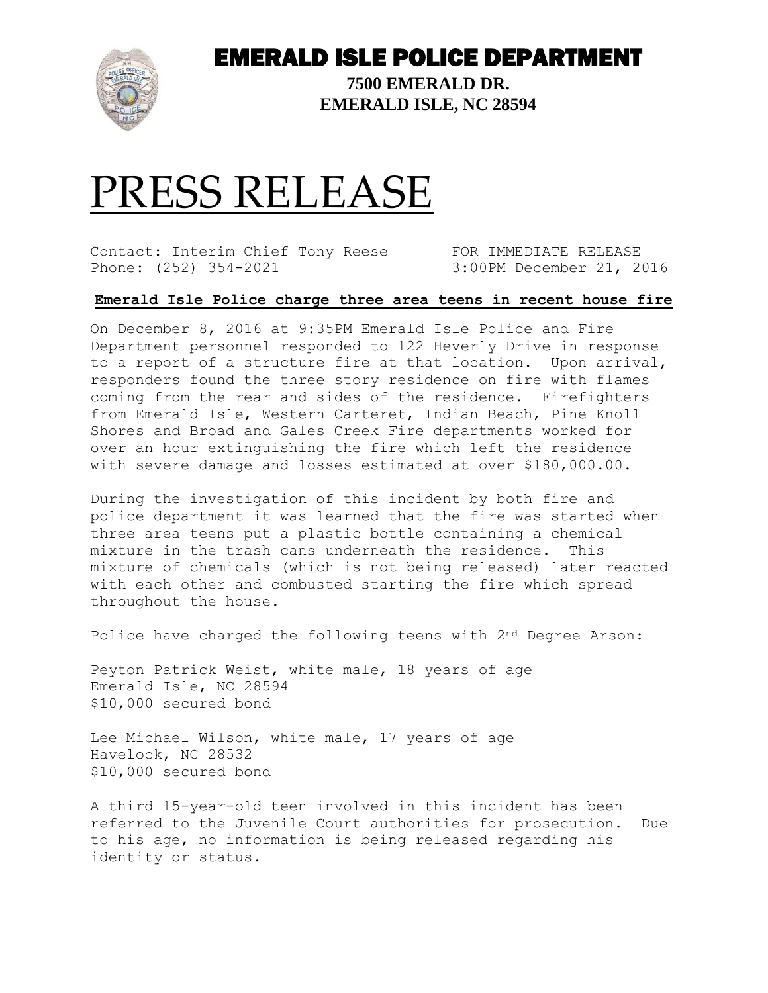

## EMERALD ISLE POLICE DEPARTMENT

**7500 EMERALD DR. EMERALD ISLE, NC 28594**

## PRESS RELEASE

Contact: Interim Chief Tony Reese FOR IMMEDIATE RELEASE Phone: (252) 354-2021 3:00PM December 21, 2016

## **Emerald Isle Police charge three area teens in recent house fire**

On December 8, 2016 at 9:35PM Emerald Isle Police and Fire Department personnel responded to 122 Heverly Drive in response to a report of a structure fire at that location. Upon arrival, responders found the three story residence on fire with flames coming from the rear and sides of the residence. Firefighters from Emerald Isle, Western Carteret, Indian Beach, Pine Knoll Shores and Broad and Gales Creek Fire departments worked for over an hour extinguishing the fire which left the residence with severe damage and losses estimated at over \$180,000.00.

During the investigation of this incident by both fire and police department it was learned that the fire was started when three area teens put a plastic bottle containing a chemical mixture in the trash cans underneath the residence. This mixture of chemicals (which is not being released) later reacted with each other and combusted starting the fire which spread throughout the house.

Police have charged the following teens with 2nd Degree Arson:

Peyton Patrick Weist, white male, 18 years of age Emerald Isle, NC 28594 \$10,000 secured bond

Lee Michael Wilson, white male, 17 years of age Havelock, NC 28532 \$10,000 secured bond

A third 15-year-old teen involved in this incident has been referred to the Juvenile Court authorities for prosecution. Due to his age, no information is being released regarding his identity or status.